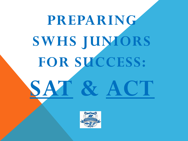# **PREPARING SWHS JUNIORS FOR SUCCESS: SAT & ACT**

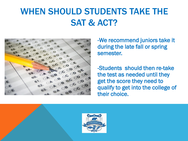### WHEN SHOULD STUDENTS TAKE THE SAT & ACT?



-We recommend juniors take it during the late fall or spring semester.

-Students should then re-take the test as needed until they get the score they need to qualify to get into the college of their choice.

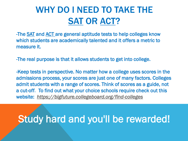### WHY DO I NEED TO TAKE THE SAT OR ACT?

-The **SAT** and **ACT** are general aptitude tests to help colleges know which students are academically talented and it offers a metric to measure it.

-The real purpose is that it allows students to get into college.

-Keep tests in perspective. No matter how a college uses scores in the admissions process, your scores are just one of many factors. Colleges admit students with a range of scores. Think of scores as a guide, not a cut-off. To find out what your choice schools require check out this website: *<https://bigfuture.collegeboard.org/find-colleges>*

## Study hard and you'll be rewarded!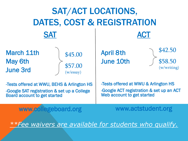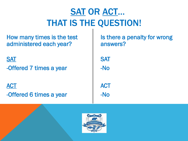# SAT OR ACT… THAT IS THE QUESTION!

How many times is the test administered each year?

**SAT** -Offered 7 times a year

**ACT** -Offered 6 times a year

Is there a penalty for wrong answers? **SAT** -No **ACT** -No

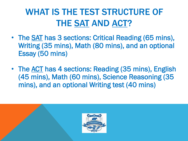# WHAT IS THE TEST STRUCTURE OF THE SAT AND ACT?

- The SAT has 3 sections: Critical Reading (65 mins), Writing (35 mins), Math (80 mins), and an optional Essay (50 mins)
- The ACT has 4 sections: Reading (35 mins), English (45 mins), Math (60 mins), Science Reasoning (35 mins), and an optional Writing test (40 mins)

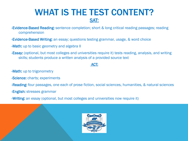### WHAT IS THE TEST CONTENT? SAT:

- -Evidence-Based Reading: sentence completion; short & long critical reading passages; reading comprehension
- -Evidence-Based Writing: an essay; questions testing grammar, usage, & word choice
- -Math: up to basic geometry and algebra II
- -Essay: (optional, but most colleges and universities require it) tests reading, analysis, and writing skills; students produce a written analysis of a provided source text

#### ACT:

- -**Math:** up to trigonometry
- -Science: charts; experiments
- -Reading: four passages, one each of prose fiction, social sciences, humanities, & natural sciences
- -English: stresses grammar
- -Writing: an essay (optional, but most colleges and universities now require it)

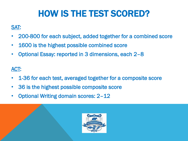# HOW IS THE TEST SCORED?

#### SAT:

- 200-800 for each subject, added together for a combined score
- 1600 is the highest possible combined score
- Optional Essay: reported in 3 dimensions, each 2–8

#### ACT:

- 1-36 for each test, averaged together for a composite score
- 36 is the highest possible composite score
- Optional Writing domain scores: 2–12

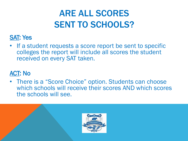## ARE ALL SCORES SENT TO SCHOOLS?

#### SAT: Yes

• If a student requests a score report be sent to specific colleges the report will include all scores the student received on every SAT taken.

### ACT: No

• There is a "Score Choice" option. Students can choose which schools will receive their scores AND which scores the schools will see.

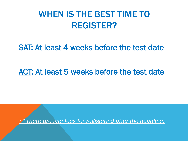### WHEN IS THE BEST TIME TO REGISTER?

### SAT: At least 4 weeks before the test date

### ACT: At least 5 weeks before the test date

*\*\*There are late fees for registering after the deadline.*